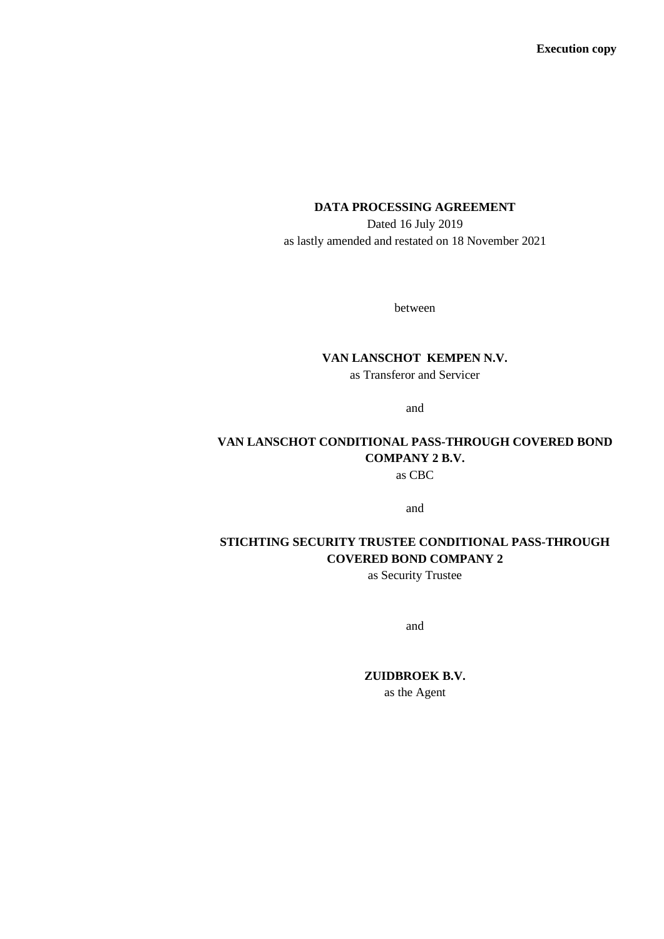### **DATA PROCESSING AGREEMENT**

Dated 16 July 2019 as lastly amended and restated on 18 November 2021

between

### **VAN LANSCHOT KEMPEN N.V.** as Transferor and Servicer

and

## **VAN LANSCHOT CONDITIONAL PASS-THROUGH COVERED BOND COMPANY 2 B.V.** as CBC

and

## **STICHTING SECURITY TRUSTEE CONDITIONAL PASS-THROUGH COVERED BOND COMPANY 2**

as Security Trustee

and

## **ZUIDBROEK B.V.**

as the Agent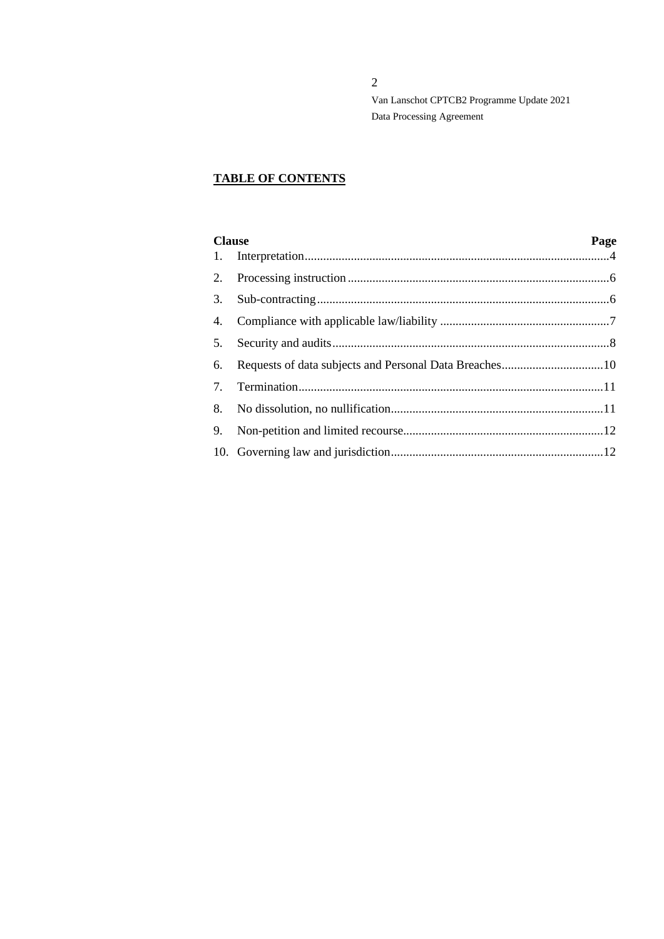# **TABLE OF CONTENTS**

| <b>Clause</b> |  | Page |
|---------------|--|------|
|               |  |      |
|               |  |      |
|               |  |      |
| 4.            |  |      |
| 5.            |  |      |
| 6.            |  |      |
| 7.            |  |      |
|               |  |      |
| 9.            |  |      |
|               |  |      |
|               |  |      |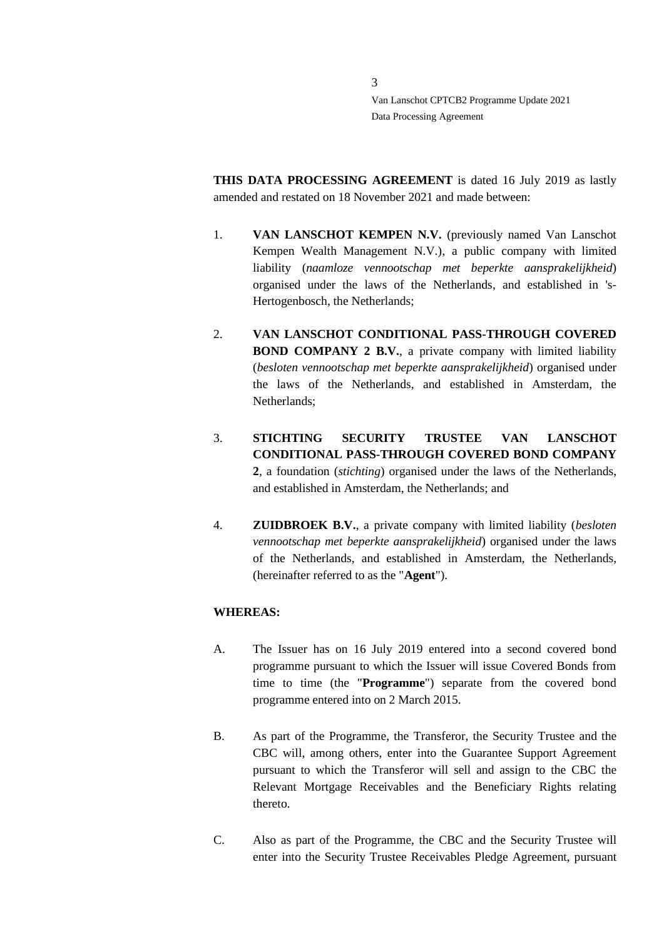**THIS DATA PROCESSING AGREEMENT** is dated 16 July 2019 as lastly amended and restated on 18 November 2021 and made between:

- 1. **VAN LANSCHOT KEMPEN N.V.** (previously named Van Lanschot Kempen Wealth Management N.V.), a public company with limited liability (*naamloze vennootschap met beperkte aansprakelijkheid*) organised under the laws of the Netherlands, and established in 's-Hertogenbosch, the Netherlands;
- 2. **VAN LANSCHOT CONDITIONAL PASS-THROUGH COVERED BOND COMPANY 2 B.V.**, a private company with limited liability (*besloten vennootschap met beperkte aansprakelijkheid*) organised under the laws of the Netherlands, and established in Amsterdam, the Netherlands;
- 3. **STICHTING SECURITY TRUSTEE VAN LANSCHOT CONDITIONAL PASS-THROUGH COVERED BOND COMPANY 2**, a foundation (*stichting*) organised under the laws of the Netherlands, and established in Amsterdam, the Netherlands; and
- 4. **ZUIDBROEK B.V.**, a private company with limited liability (*besloten vennootschap met beperkte aansprakelijkheid*) organised under the laws of the Netherlands, and established in Amsterdam, the Netherlands, (hereinafter referred to as the "**Agent**").

#### **WHEREAS:**

- A. The Issuer has on 16 July 2019 entered into a second covered bond programme pursuant to which the Issuer will issue Covered Bonds from time to time (the "**Programme**") separate from the covered bond programme entered into on 2 March 2015.
- B. As part of the Programme, the Transferor, the Security Trustee and the CBC will, among others, enter into the Guarantee Support Agreement pursuant to which the Transferor will sell and assign to the CBC the Relevant Mortgage Receivables and the Beneficiary Rights relating thereto.
- C. Also as part of the Programme, the CBC and the Security Trustee will enter into the Security Trustee Receivables Pledge Agreement, pursuant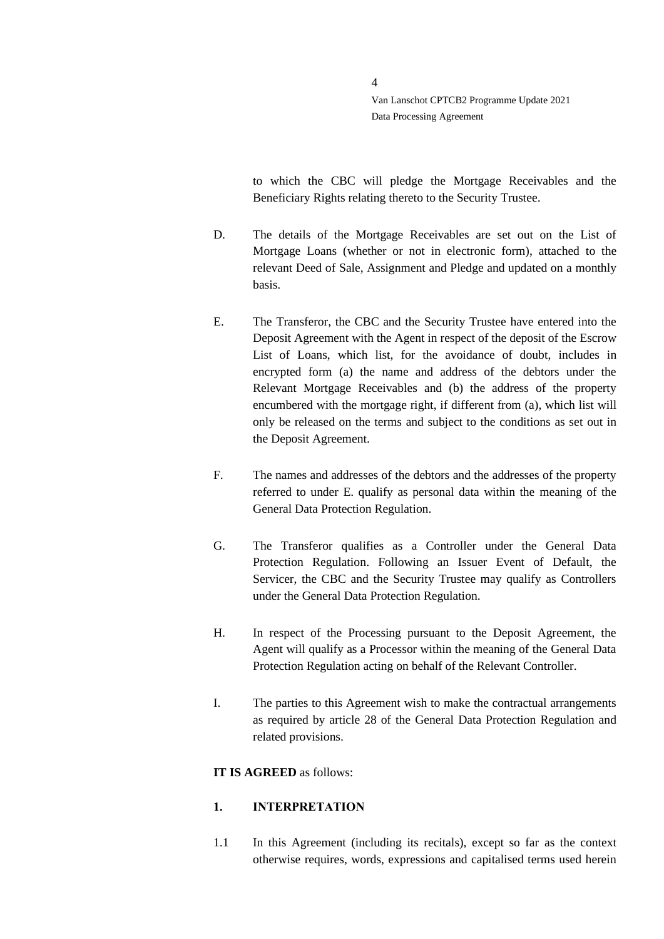to which the CBC will pledge the Mortgage Receivables and the Beneficiary Rights relating thereto to the Security Trustee.

- D. The details of the Mortgage Receivables are set out on the List of Mortgage Loans (whether or not in electronic form), attached to the relevant Deed of Sale, Assignment and Pledge and updated on a monthly basis.
- E. The Transferor, the CBC and the Security Trustee have entered into the Deposit Agreement with the Agent in respect of the deposit of the Escrow List of Loans, which list, for the avoidance of doubt, includes in encrypted form (a) the name and address of the debtors under the Relevant Mortgage Receivables and (b) the address of the property encumbered with the mortgage right, if different from (a), which list will only be released on the terms and subject to the conditions as set out in the Deposit Agreement.
- F. The names and addresses of the debtors and the addresses of the property referred to under E. qualify as personal data within the meaning of the General Data Protection Regulation.
- G. The Transferor qualifies as a Controller under the General Data Protection Regulation. Following an Issuer Event of Default, the Servicer, the CBC and the Security Trustee may qualify as Controllers under the General Data Protection Regulation.
- H. In respect of the Processing pursuant to the Deposit Agreement, the Agent will qualify as a Processor within the meaning of the General Data Protection Regulation acting on behalf of the Relevant Controller.
- I. The parties to this Agreement wish to make the contractual arrangements as required by article 28 of the General Data Protection Regulation and related provisions.

### **IT IS AGREED** as follows:

### <span id="page-3-0"></span>**1. INTERPRETATION**

1.1 In this Agreement (including its recitals), except so far as the context otherwise requires, words, expressions and capitalised terms used herein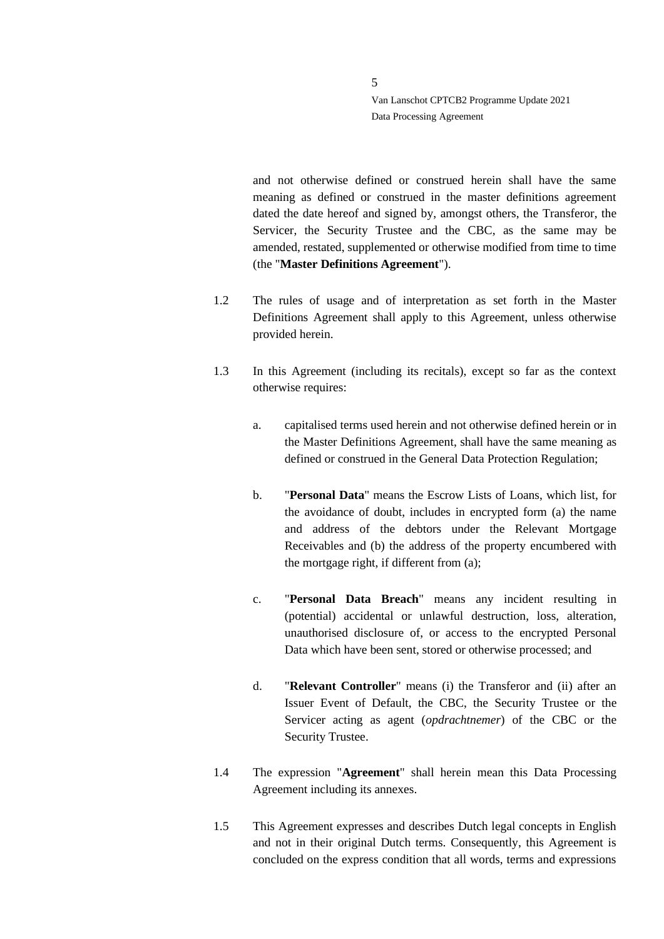and not otherwise defined or construed herein shall have the same meaning as defined or construed in the master definitions agreement dated the date hereof and signed by, amongst others, the Transferor, the Servicer, the Security Trustee and the CBC, as the same may be amended, restated, supplemented or otherwise modified from time to time (the "**Master Definitions Agreement**").

- 1.2 The rules of usage and of interpretation as set forth in the Master Definitions Agreement shall apply to this Agreement, unless otherwise provided herein.
- 1.3 In this Agreement (including its recitals), except so far as the context otherwise requires:
	- a. capitalised terms used herein and not otherwise defined herein or in the Master Definitions Agreement, shall have the same meaning as defined or construed in the General Data Protection Regulation;
	- b. "**Personal Data**" means the Escrow Lists of Loans, which list, for the avoidance of doubt, includes in encrypted form (a) the name and address of the debtors under the Relevant Mortgage Receivables and (b) the address of the property encumbered with the mortgage right, if different from (a);
	- c. "**Personal Data Breach**" means any incident resulting in (potential) accidental or unlawful destruction, loss, alteration, unauthorised disclosure of, or access to the encrypted Personal Data which have been sent, stored or otherwise processed; and
	- d. "**Relevant Controller**" means (i) the Transferor and (ii) after an Issuer Event of Default, the CBC, the Security Trustee or the Servicer acting as agent (*opdrachtnemer*) of the CBC or the Security Trustee.
- 1.4 The expression "**Agreement**" shall herein mean this Data Processing Agreement including its annexes.
- 1.5 This Agreement expresses and describes Dutch legal concepts in English and not in their original Dutch terms. Consequently, this Agreement is concluded on the express condition that all words, terms and expressions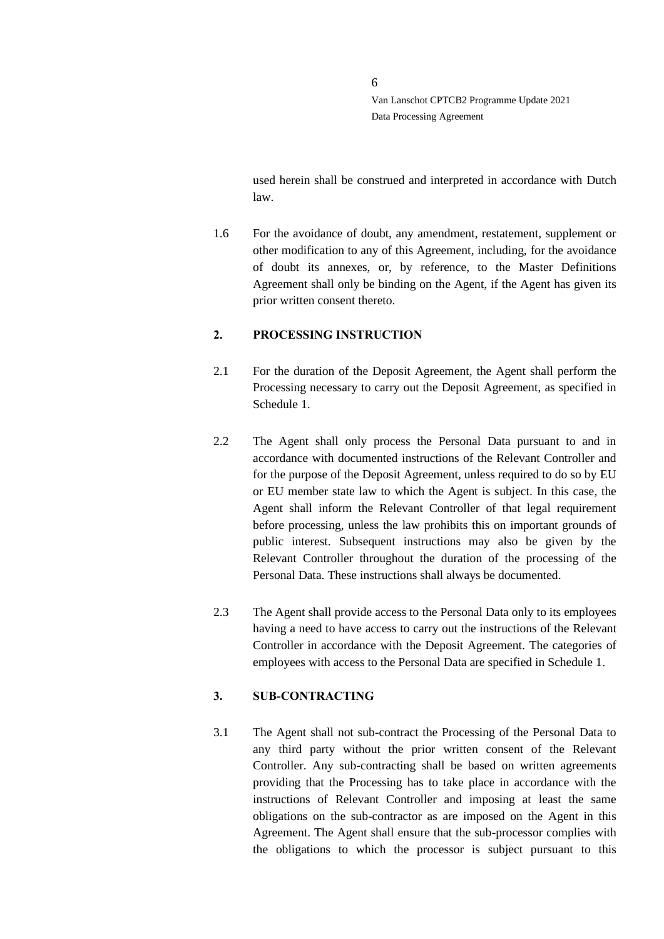used herein shall be construed and interpreted in accordance with Dutch law.

1.6 For the avoidance of doubt, any amendment, restatement, supplement or other modification to any of this Agreement, including, for the avoidance of doubt its annexes, or, by reference, to the Master Definitions Agreement shall only be binding on the Agent, if the Agent has given its prior written consent thereto.

#### <span id="page-5-0"></span>**2. PROCESSING INSTRUCTION**

- 2.1 For the duration of the Deposit Agreement, the Agent shall perform the Processing necessary to carry out the Deposit Agreement, as specified in Schedule 1.
- 2.2 The Agent shall only process the Personal Data pursuant to and in accordance with documented instructions of the Relevant Controller and for the purpose of the Deposit Agreement, unless required to do so by EU or EU member state law to which the Agent is subject. In this case, the Agent shall inform the Relevant Controller of that legal requirement before processing, unless the law prohibits this on important grounds of public interest. Subsequent instructions may also be given by the Relevant Controller throughout the duration of the processing of the Personal Data. These instructions shall always be documented.
- 2.3 The Agent shall provide access to the Personal Data only to its employees having a need to have access to carry out the instructions of the Relevant Controller in accordance with the Deposit Agreement. The categories of employees with access to the Personal Data are specified in Schedule 1.

### <span id="page-5-1"></span>**3. SUB-CONTRACTING**

3.1 The Agent shall not sub-contract the Processing of the Personal Data to any third party without the prior written consent of the Relevant Controller. Any sub-contracting shall be based on written agreements providing that the Processing has to take place in accordance with the instructions of Relevant Controller and imposing at least the same obligations on the sub-contractor as are imposed on the Agent in this Agreement. The Agent shall ensure that the sub-processor complies with the obligations to which the processor is subject pursuant to this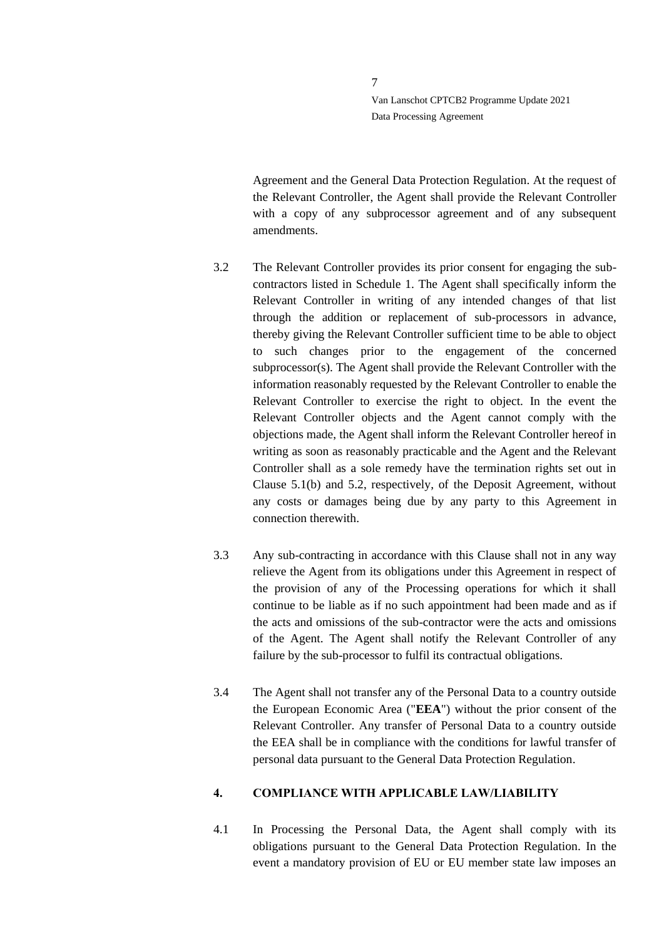Agreement and the General Data Protection Regulation. At the request of the Relevant Controller, the Agent shall provide the Relevant Controller with a copy of any subprocessor agreement and of any subsequent amendments.

- 3.2 The Relevant Controller provides its prior consent for engaging the subcontractors listed in Schedule 1. The Agent shall specifically inform the Relevant Controller in writing of any intended changes of that list through the addition or replacement of sub-processors in advance, thereby giving the Relevant Controller sufficient time to be able to object to such changes prior to the engagement of the concerned subprocessor(s). The Agent shall provide the Relevant Controller with the information reasonably requested by the Relevant Controller to enable the Relevant Controller to exercise the right to object. In the event the Relevant Controller objects and the Agent cannot comply with the objections made, the Agent shall inform the Relevant Controller hereof in writing as soon as reasonably practicable and the Agent and the Relevant Controller shall as a sole remedy have the termination rights set out in Clause 5.1(b) and 5.2, respectively, of the Deposit Agreement, without any costs or damages being due by any party to this Agreement in connection therewith.
- 3.3 Any sub-contracting in accordance with this Clause shall not in any way relieve the Agent from its obligations under this Agreement in respect of the provision of any of the Processing operations for which it shall continue to be liable as if no such appointment had been made and as if the acts and omissions of the sub-contractor were the acts and omissions of the Agent. The Agent shall notify the Relevant Controller of any failure by the sub-processor to fulfil its contractual obligations.
- 3.4 The Agent shall not transfer any of the Personal Data to a country outside the European Economic Area ("**EEA**") without the prior consent of the Relevant Controller. Any transfer of Personal Data to a country outside the EEA shall be in compliance with the conditions for lawful transfer of personal data pursuant to the General Data Protection Regulation.

#### <span id="page-6-0"></span>**4. COMPLIANCE WITH APPLICABLE LAW/LIABILITY**

4.1 In Processing the Personal Data, the Agent shall comply with its obligations pursuant to the General Data Protection Regulation. In the event a mandatory provision of EU or EU member state law imposes an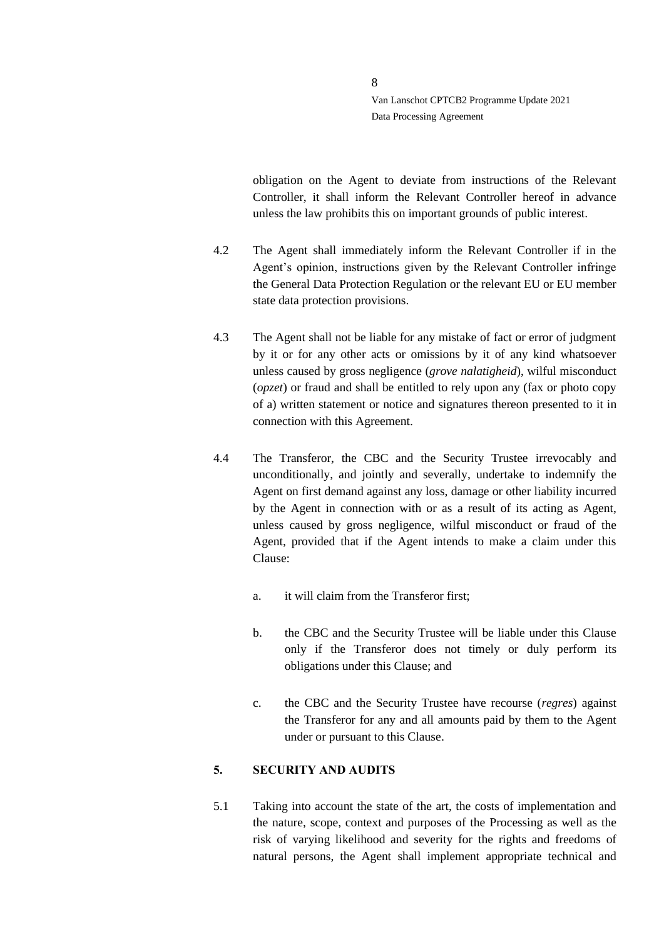obligation on the Agent to deviate from instructions of the Relevant Controller, it shall inform the Relevant Controller hereof in advance unless the law prohibits this on important grounds of public interest.

- 4.2 The Agent shall immediately inform the Relevant Controller if in the Agent's opinion, instructions given by the Relevant Controller infringe the General Data Protection Regulation or the relevant EU or EU member state data protection provisions.
- 4.3 The Agent shall not be liable for any mistake of fact or error of judgment by it or for any other acts or omissions by it of any kind whatsoever unless caused by gross negligence (*grove nalatigheid*), wilful misconduct (*opzet*) or fraud and shall be entitled to rely upon any (fax or photo copy of a) written statement or notice and signatures thereon presented to it in connection with this Agreement.
- 4.4 The Transferor, the CBC and the Security Trustee irrevocably and unconditionally, and jointly and severally, undertake to indemnify the Agent on first demand against any loss, damage or other liability incurred by the Agent in connection with or as a result of its acting as Agent, unless caused by gross negligence, wilful misconduct or fraud of the Agent, provided that if the Agent intends to make a claim under this Clause:
	- a. it will claim from the Transferor first;
	- b. the CBC and the Security Trustee will be liable under this Clause only if the Transferor does not timely or duly perform its obligations under this Clause; and
	- c. the CBC and the Security Trustee have recourse (*regres*) against the Transferor for any and all amounts paid by them to the Agent under or pursuant to this Clause.

### <span id="page-7-0"></span>**5. SECURITY AND AUDITS**

5.1 Taking into account the state of the art, the costs of implementation and the nature, scope, context and purposes of the Processing as well as the risk of varying likelihood and severity for the rights and freedoms of natural persons, the Agent shall implement appropriate technical and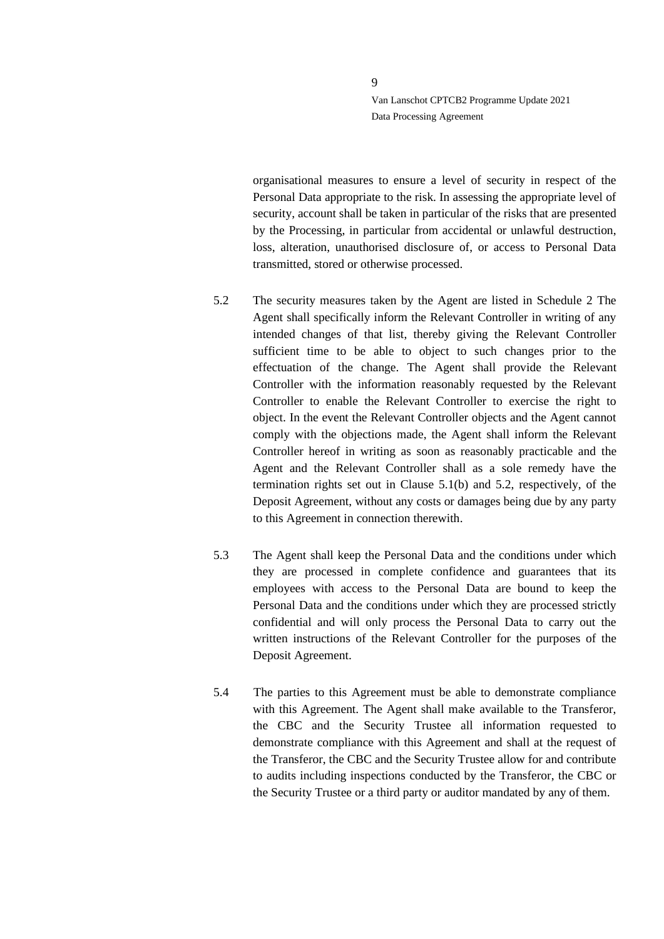organisational measures to ensure a level of security in respect of the Personal Data appropriate to the risk. In assessing the appropriate level of security, account shall be taken in particular of the risks that are presented by the Processing, in particular from accidental or unlawful destruction, loss, alteration, unauthorised disclosure of, or access to Personal Data transmitted, stored or otherwise processed.

- 5.2 The security measures taken by the Agent are listed in Schedule 2 The Agent shall specifically inform the Relevant Controller in writing of any intended changes of that list, thereby giving the Relevant Controller sufficient time to be able to object to such changes prior to the effectuation of the change. The Agent shall provide the Relevant Controller with the information reasonably requested by the Relevant Controller to enable the Relevant Controller to exercise the right to object. In the event the Relevant Controller objects and the Agent cannot comply with the objections made, the Agent shall inform the Relevant Controller hereof in writing as soon as reasonably practicable and the Agent and the Relevant Controller shall as a sole remedy have the termination rights set out in Clause 5.1(b) and 5.2, respectively, of the Deposit Agreement, without any costs or damages being due by any party to this Agreement in connection therewith.
- 5.3 The Agent shall keep the Personal Data and the conditions under which they are processed in complete confidence and guarantees that its employees with access to the Personal Data are bound to keep the Personal Data and the conditions under which they are processed strictly confidential and will only process the Personal Data to carry out the written instructions of the Relevant Controller for the purposes of the Deposit Agreement.
- 5.4 The parties to this Agreement must be able to demonstrate compliance with this Agreement. The Agent shall make available to the Transferor, the CBC and the Security Trustee all information requested to demonstrate compliance with this Agreement and shall at the request of the Transferor, the CBC and the Security Trustee allow for and contribute to audits including inspections conducted by the Transferor, the CBC or the Security Trustee or a third party or auditor mandated by any of them.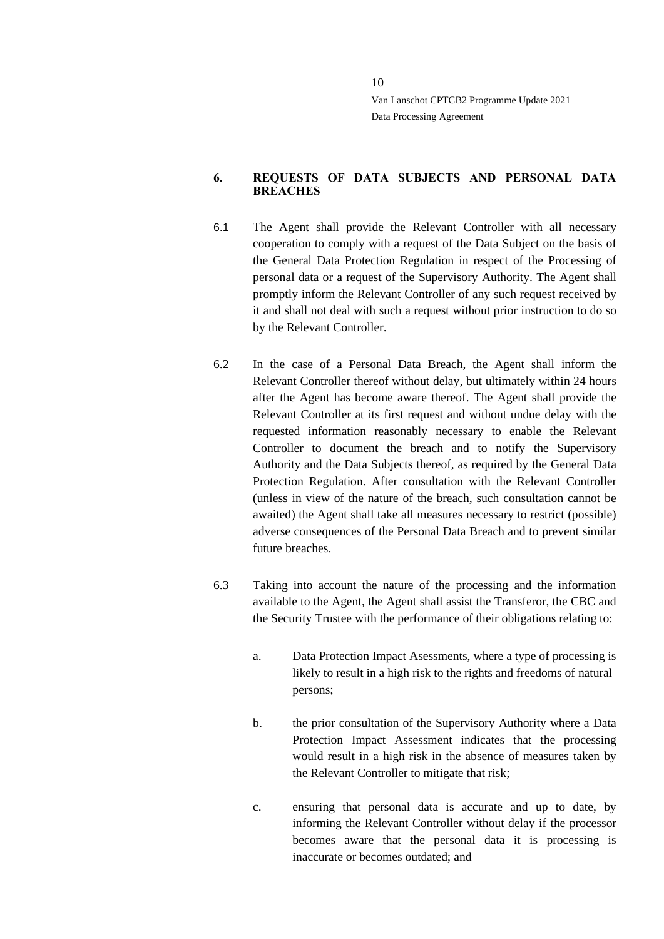#### <span id="page-9-0"></span>**6. REQUESTS OF DATA SUBJECTS AND PERSONAL DATA BREACHES**

- 6.1 The Agent shall provide the Relevant Controller with all necessary cooperation to comply with a request of the Data Subject on the basis of the General Data Protection Regulation in respect of the Processing of personal data or a request of the Supervisory Authority. The Agent shall promptly inform the Relevant Controller of any such request received by it and shall not deal with such a request without prior instruction to do so by the Relevant Controller.
- 6.2 In the case of a Personal Data Breach, the Agent shall inform the Relevant Controller thereof without delay, but ultimately within 24 hours after the Agent has become aware thereof. The Agent shall provide the Relevant Controller at its first request and without undue delay with the requested information reasonably necessary to enable the Relevant Controller to document the breach and to notify the Supervisory Authority and the Data Subjects thereof, as required by the General Data Protection Regulation. After consultation with the Relevant Controller (unless in view of the nature of the breach, such consultation cannot be awaited) the Agent shall take all measures necessary to restrict (possible) adverse consequences of the Personal Data Breach and to prevent similar future breaches.
- 6.3 Taking into account the nature of the processing and the information available to the Agent, the Agent shall assist the Transferor, the CBC and the Security Trustee with the performance of their obligations relating to:
	- a. Data Protection Impact Asessments, where a type of processing is likely to result in a high risk to the rights and freedoms of natural persons;
	- b. the prior consultation of the Supervisory Authority where a Data Protection Impact Assessment indicates that the processing would result in a high risk in the absence of measures taken by the Relevant Controller to mitigate that risk;
	- c. ensuring that personal data is accurate and up to date, by informing the Relevant Controller without delay if the processor becomes aware that the personal data it is processing is inaccurate or becomes outdated; and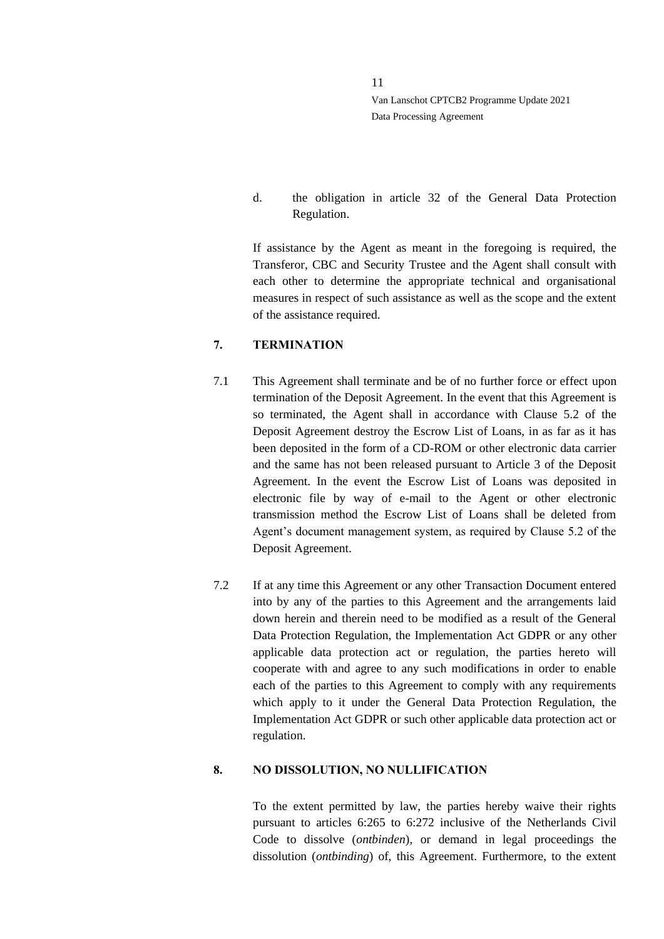d. the obligation in article 32 of the General Data Protection Regulation.

If assistance by the Agent as meant in the foregoing is required, the Transferor, CBC and Security Trustee and the Agent shall consult with each other to determine the appropriate technical and organisational measures in respect of such assistance as well as the scope and the extent of the assistance required.

### <span id="page-10-0"></span>**7. TERMINATION**

- 7.1 This Agreement shall terminate and be of no further force or effect upon termination of the Deposit Agreement. In the event that this Agreement is so terminated, the Agent shall in accordance with Clause 5.2 of the Deposit Agreement destroy the Escrow List of Loans, in as far as it has been deposited in the form of a CD-ROM or other electronic data carrier and the same has not been released pursuant to Article 3 of the Deposit Agreement. In the event the Escrow List of Loans was deposited in electronic file by way of e-mail to the Agent or other electronic transmission method the Escrow List of Loans shall be deleted from Agent's document management system, as required by Clause 5.2 of the Deposit Agreement.
- 7.2 If at any time this Agreement or any other Transaction Document entered into by any of the parties to this Agreement and the arrangements laid down herein and therein need to be modified as a result of the General Data Protection Regulation, the Implementation Act GDPR or any other applicable data protection act or regulation, the parties hereto will cooperate with and agree to any such modifications in order to enable each of the parties to this Agreement to comply with any requirements which apply to it under the General Data Protection Regulation, the Implementation Act GDPR or such other applicable data protection act or regulation.

#### <span id="page-10-1"></span>**8. NO DISSOLUTION, NO NULLIFICATION**

To the extent permitted by law, the parties hereby waive their rights pursuant to articles 6:265 to 6:272 inclusive of the Netherlands Civil Code to dissolve (*ontbinden*), or demand in legal proceedings the dissolution (*ontbinding*) of, this Agreement. Furthermore, to the extent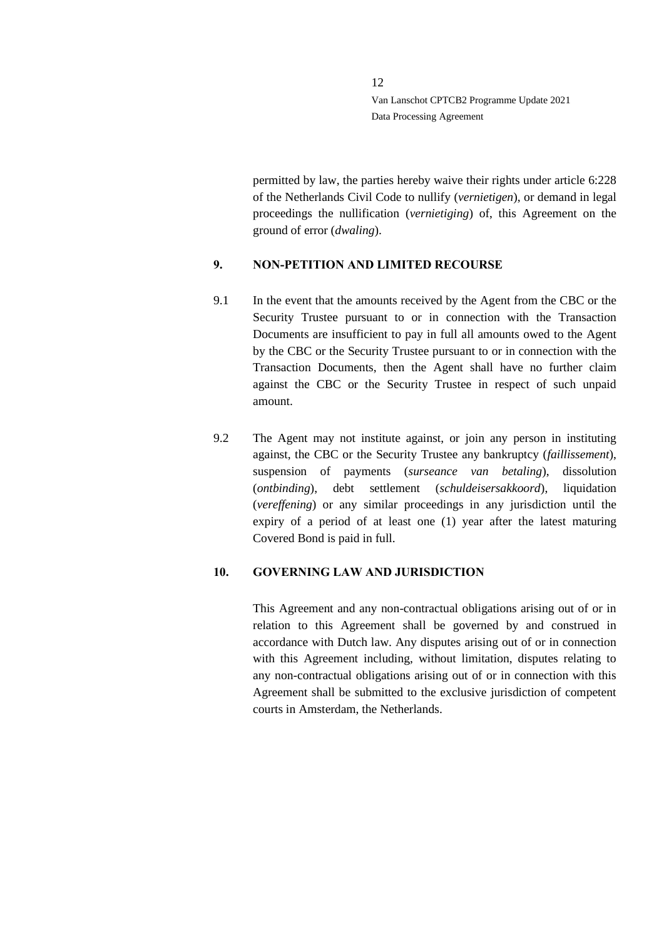permitted by law, the parties hereby waive their rights under article 6:228 of the Netherlands Civil Code to nullify (*vernietigen*), or demand in legal proceedings the nullification (*vernietiging*) of, this Agreement on the ground of error (*dwaling*).

### <span id="page-11-0"></span>**9. NON-PETITION AND LIMITED RECOURSE**

- 9.1 In the event that the amounts received by the Agent from the CBC or the Security Trustee pursuant to or in connection with the Transaction Documents are insufficient to pay in full all amounts owed to the Agent by the CBC or the Security Trustee pursuant to or in connection with the Transaction Documents, then the Agent shall have no further claim against the CBC or the Security Trustee in respect of such unpaid amount.
- 9.2 The Agent may not institute against, or join any person in instituting against, the CBC or the Security Trustee any bankruptcy (*faillissement*), suspension of payments (*surseance van betaling*), dissolution (*ontbinding*), debt settlement (*schuldeisersakkoord*), liquidation (*vereffening*) or any similar proceedings in any jurisdiction until the expiry of a period of at least one (1) year after the latest maturing Covered Bond is paid in full.

#### <span id="page-11-1"></span>**10. GOVERNING LAW AND JURISDICTION**

This Agreement and any non-contractual obligations arising out of or in relation to this Agreement shall be governed by and construed in accordance with Dutch law. Any disputes arising out of or in connection with this Agreement including, without limitation, disputes relating to any non-contractual obligations arising out of or in connection with this Agreement shall be submitted to the exclusive jurisdiction of competent courts in Amsterdam, the Netherlands.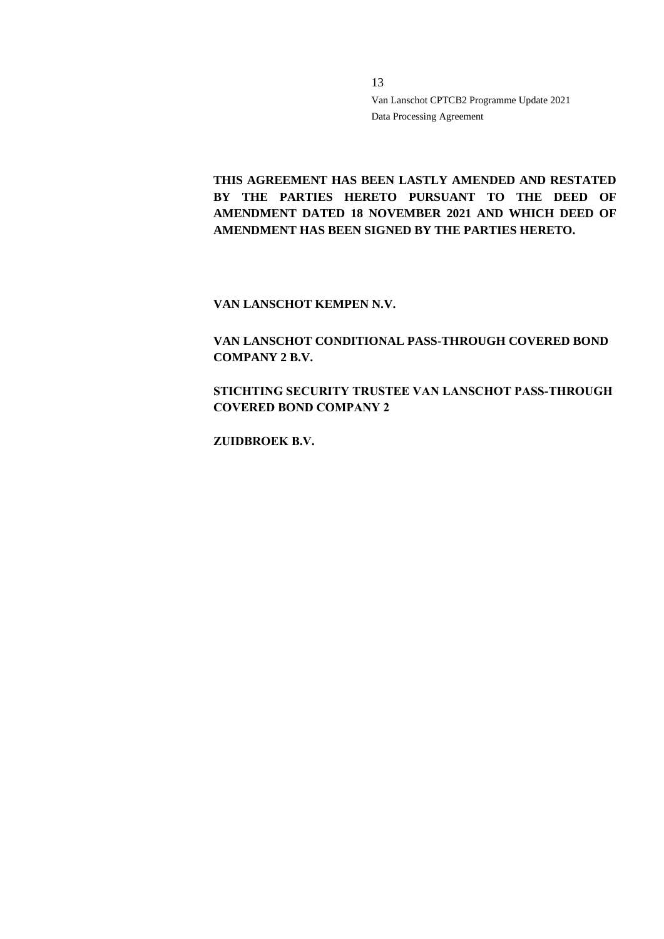**THIS AGREEMENT HAS BEEN LASTLY AMENDED AND RESTATED BY THE PARTIES HERETO PURSUANT TO THE DEED OF AMENDMENT DATED 18 NOVEMBER 2021 AND WHICH DEED OF AMENDMENT HAS BEEN SIGNED BY THE PARTIES HERETO.**

**VAN LANSCHOT KEMPEN N.V.**

**VAN LANSCHOT CONDITIONAL PASS-THROUGH COVERED BOND COMPANY 2 B.V.**

**STICHTING SECURITY TRUSTEE VAN LANSCHOT PASS-THROUGH COVERED BOND COMPANY 2**

**ZUIDBROEK B.V.**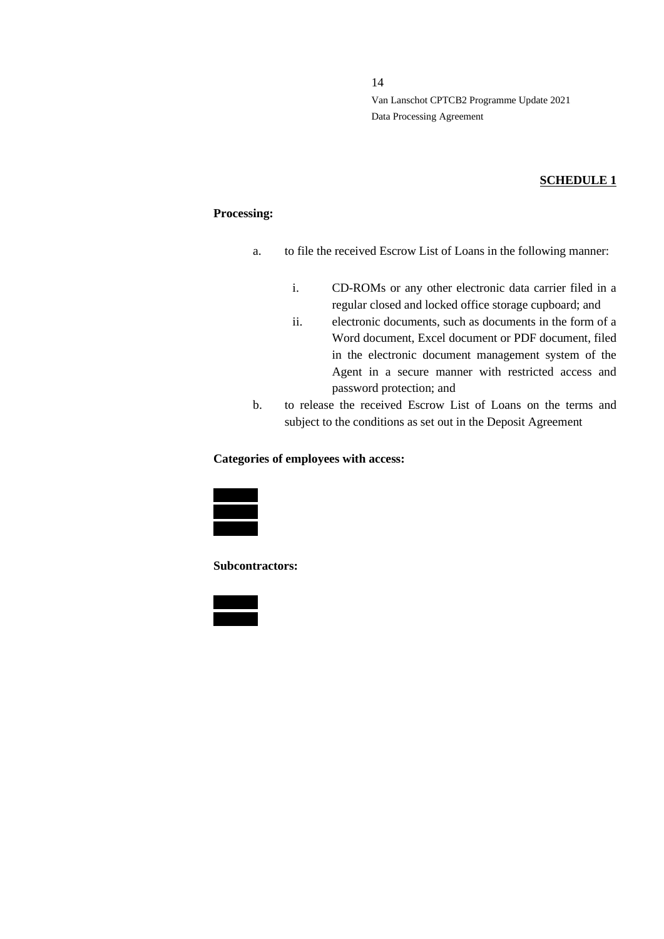#### **SCHEDULE 1**

#### **Processing:**

- a. to file the received Escrow List of Loans in the following manner:
	- i. CD-ROMs or any other electronic data carrier filed in a regular closed and locked office storage cupboard; and
	- ii. electronic documents, such as documents in the form of a Word document, Excel document or PDF document, filed in the electronic document management system of the Agent in a secure manner with restricted access and password protection; and
- b. to release the received Escrow List of Loans on the terms and subject to the conditions as set out in the Deposit Agreement

#### **Categories of employees with access:**



**Subcontractors:**

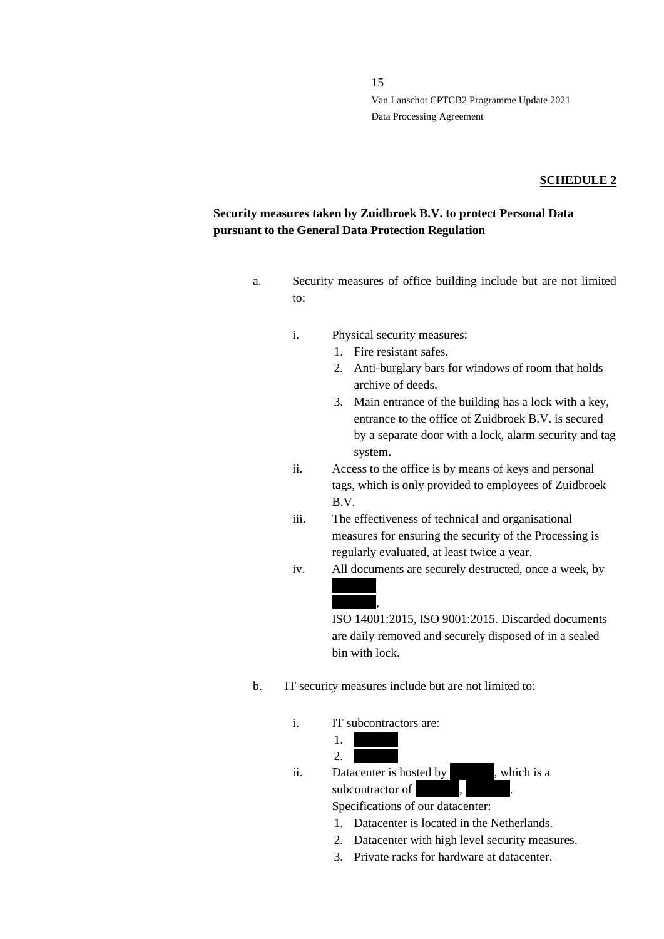#### **SCHEDULE 2**

### **Security measures taken by Zuidbroek B.V. to protect Personal Data pursuant to the General Data Protection Regulation**

- a. Security measures of office building include but are not limited to:
	- i. Physical security measures:
		- 1. Fire resistant safes.
		- 2. Anti-burglary bars for windows of room that holds archive of deeds.
		- 3. Main entrance of the building has a lock with a key, entrance to the office of Zuidbroek B.V. is secured by a separate door with a lock, alarm security and tag system.
	- ii. Access to the office is by means of keys and personal tags, which is only provided to employees of Zuidbroek B.V.
	- iii. The effectiveness of technical and organisational measures for ensuring the security of the Processing is regularly evaluated, at least twice a year.
	- iv. All documents are securely destructed, once a week, by

ISO 14001:2015, ISO 9001:2015. Discarded documents are daily removed and securely disposed of in a sealed bin with lock.

- b. IT security measures include but are not limited to:
	- i. IT subcontractors are:

 $1<sub>x</sub>$  $2.$ 

 $\overline{\phantom{a}}$ 

ii. Datacenter is hosted by  $\overline{\phantom{a}}$ , which is a subcontractor of

Specifications of our datacenter:

- 1. Datacenter is located in the Netherlands.
- 2. Datacenter with high level security measures.
- 3. Private racks for hardware at datacenter.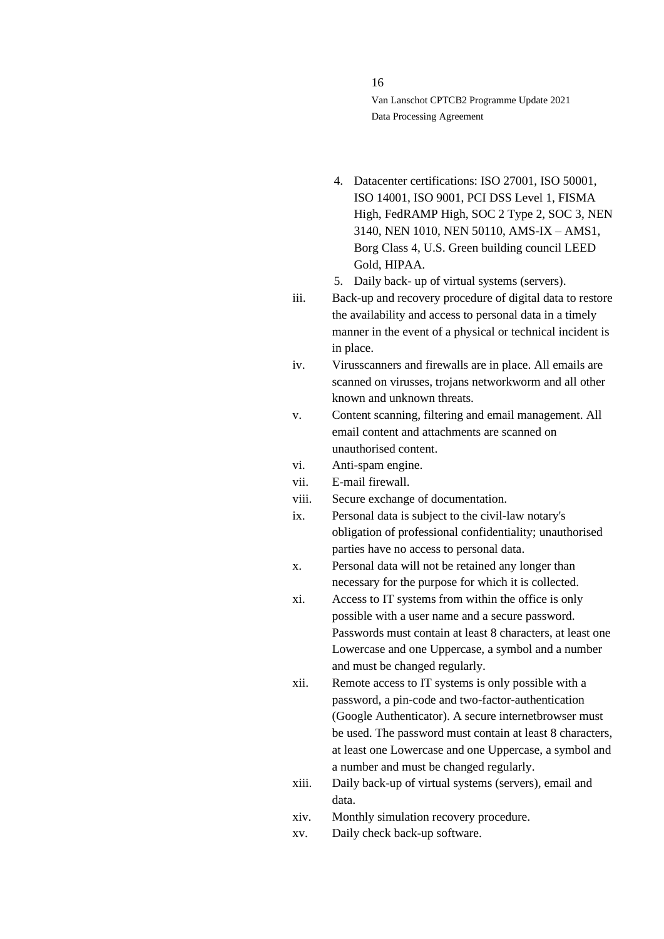- 4. Datacenter certifications: ISO 27001, ISO 50001, ISO 14001, ISO 9001, PCI DSS Level 1, FISMA High, FedRAMP High, SOC 2 Type 2, SOC 3, NEN 3140, NEN 1010, NEN 50110, AMS-IX – AMS1, Borg Class 4, U.S. Green building council LEED Gold, HIPAA.
- 5. Daily back- up of virtual systems (servers).
- iii. Back-up and recovery procedure of digital data to restore the availability and access to personal data in a timely manner in the event of a physical or technical incident is in place.
- iv. Virusscanners and firewalls are in place. All emails are scanned on virusses, trojans networkworm and all other known and unknown threats.
- v. Content scanning, filtering and email management. All email content and attachments are scanned on unauthorised content.
- vi. Anti-spam engine.
- vii. E-mail firewall.
- viii. Secure exchange of documentation.
- ix. Personal data is subject to the civil-law notary's obligation of professional confidentiality; unauthorised parties have no access to personal data.
- x. Personal data will not be retained any longer than necessary for the purpose for which it is collected.
- xi. Access to IT systems from within the office is only possible with a user name and a secure password. Passwords must contain at least 8 characters, at least one Lowercase and one Uppercase, a symbol and a number and must be changed regularly.
- xii. Remote access to IT systems is only possible with a password, a pin-code and two-factor-authentication (Google Authenticator). A secure internetbrowser must be used. The password must contain at least 8 characters, at least one Lowercase and one Uppercase, a symbol and a number and must be changed regularly.
- xiii. Daily back-up of virtual systems (servers), email and data.
- xiv. Monthly simulation recovery procedure.
- xv. Daily check back-up software.